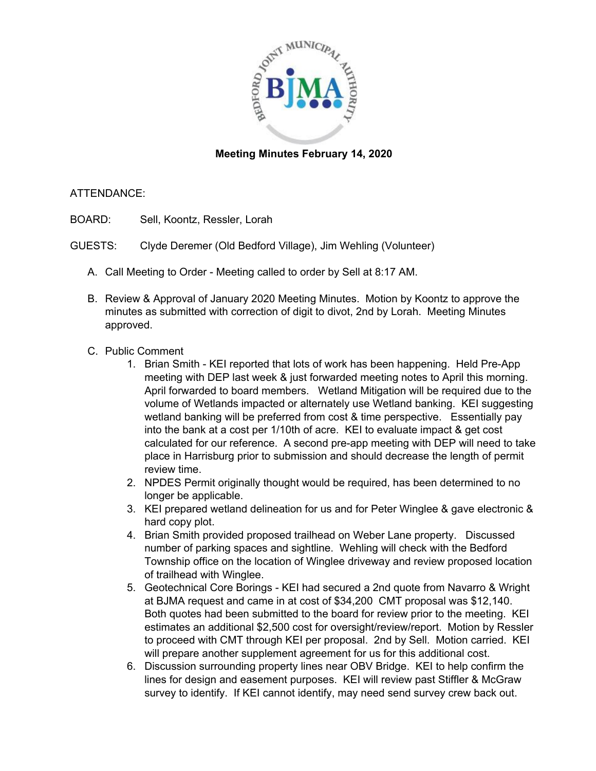

## **Meeting Minutes February 14, 2020**

## ATTENDANCE:

- BOARD: Sell, Koontz, Ressler, Lorah
- GUESTS: Clyde Deremer (Old Bedford Village), Jim Wehling (Volunteer)
	- A. Call Meeting to Order Meeting called to order by Sell at 8:17 AM.
	- B. Review & Approval of January 2020 Meeting Minutes. Motion by Koontz to approve the minutes as submitted with correction of digit to divot, 2nd by Lorah. Meeting Minutes approved.
	- C. Public Comment
		- 1. Brian Smith KEI reported that lots of work has been happening. Held Pre-App meeting with DEP last week & just forwarded meeting notes to April this morning. April forwarded to board members. Wetland Mitigation will be required due to the volume of Wetlands impacted or alternately use Wetland banking. KEI suggesting wetland banking will be preferred from cost & time perspective. Essentially pay into the bank at a cost per 1/10th of acre. KEI to evaluate impact & get cost calculated for our reference. A second pre-app meeting with DEP will need to take place in Harrisburg prior to submission and should decrease the length of permit review time.
		- 2. NPDES Permit originally thought would be required, has been determined to no longer be applicable.
		- 3. KEI prepared wetland delineation for us and for Peter Winglee & gave electronic & hard copy plot.
		- 4. Brian Smith provided proposed trailhead on Weber Lane property. Discussed number of parking spaces and sightline. Wehling will check with the Bedford Township office on the location of Winglee driveway and review proposed location of trailhead with Winglee.
		- 5. Geotechnical Core Borings KEI had secured a 2nd quote from Navarro & Wright at BJMA request and came in at cost of \$34,200 CMT proposal was \$12,140. Both quotes had been submitted to the board for review prior to the meeting. KEI estimates an additional \$2,500 cost for oversight/review/report. Motion by Ressler to proceed with CMT through KEI per proposal. 2nd by Sell. Motion carried. KEI will prepare another supplement agreement for us for this additional cost.
		- 6. Discussion surrounding property lines near OBV Bridge. KEI to help confirm the lines for design and easement purposes. KEI will review past Stiffler & McGraw survey to identify. If KEI cannot identify, may need send survey crew back out.